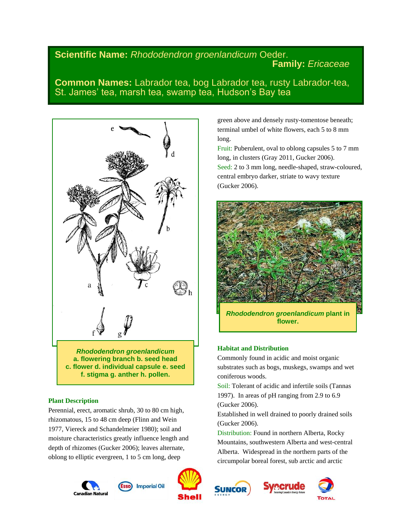# **Scientific Name:** *Rhododendron groenlandicum* Oeder. **Family:** *Ericaceae*

**Common Names:** Labrador tea, bog Labrador tea, rusty Labrador-tea, St. James' tea, marsh tea, swamp tea, Hudson's Bay tea



*Rhododendron groenlandicum* **a. flowering branch b. seed head c. flower d. individual capsule e. seed f. stigma g. anther h. pollen.**

# **Plant Description**

Perennial, erect, aromatic shrub, 30 to 80 cm high, rhizomatous, 15 to 48 cm deep (Flinn and Wein 1977, Viereck and Schandelmeier 1980); soil and moisture characteristics greatly influence length and depth of rhizomes (Gucker 2006); leaves alternate, oblong to elliptic evergreen, 1 to 5 cm long, deep















Fruit: Puberulent, oval to oblong capsules 5 to 7 mm long, in clusters (Gray 2011, Gucker 2006). Seed: 2 to 3 mm long, needle-shaped, straw-coloured, central embryo darker, striate to wavy texture (Gucker 2006).



**flower.**

# **Habitat and Distribution**

Commonly found in acidic and moist organic substrates such as bogs, muskegs, swamps and wet coniferous woods.

Soil: Tolerant of acidic and infertile soils (Tannas 1997). In areas of pH ranging from 2.9 to 6.9 (Gucker 2006).

Established in well drained to poorly drained soils (Gucker 2006).

Distribution: Found in northern Alberta, Rocky Mountains, southwestern Alberta and west-central Alberta. Widespread in the northern parts of the circumpolar boreal forest, sub arctic and arctic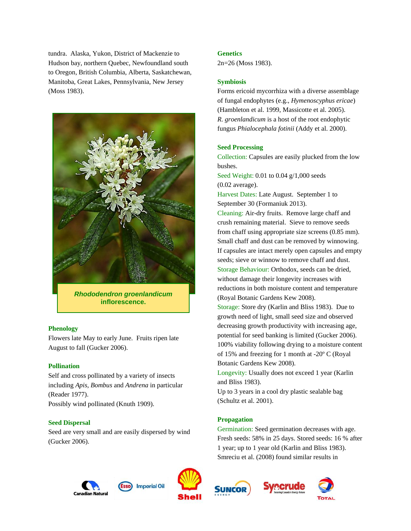tundra. Alaska, Yukon, District of Mackenzie to Hudson bay, northern Quebec, Newfoundland south to Oregon, British Columbia, Alberta, Saskatchewan, Manitoba, Great Lakes, Pennsylvania, New Jersey (Moss 1983).



*Rhododendron groenlandicum* **inflorescence.**

### **Phenology**

Flowers late May to early June. Fruits ripen late August to fall (Gucker 2006).

### **Pollination**

Self and cross pollinated by a variety of insects including *Apis, Bombus* and *Andrena* in particular (Reader 1977). Possibly wind pollinated (Knuth 1909).

### **Seed Dispersal**

Seed are very small and are easily dispersed by wind (Gucker 2006).

### **Genetics**

2n=26 (Moss 1983).

### **Symbiosis**

Forms ericoid mycorrhiza with a diverse assemblage of fungal endophytes (e.g., *Hymenoscyphus ericae*) (Hambleton et al. 1999, Massicotte et al. 2005). *R. groenlandicum* is a host of the root endophytic fungus *Phialocephala fotinii* (Addy et al. 2000).

## **Seed Processing**

Collection: Capsules are easily plucked from the low bushes.

Seed Weight: 0.01 to 0.04 g/1,000 seeds (0.02 average).

Harvest Dates: Late August. September 1 to September 30 (Formaniuk 2013).

Cleaning: Air-dry fruits. Remove large chaff and crush remaining material. Sieve to remove seeds from chaff using appropriate size screens (0.85 mm). Small chaff and dust can be removed by winnowing. If capsules are intact merely open capsules and empty seeds; sieve or winnow to remove chaff and dust. Storage Behaviour: Orthodox, seeds can be dried, without damage their longevity increases with reductions in both moisture content and temperature (Royal Botanic Gardens Kew 2008).

Storage: Store dry (Karlin and Bliss 1983). Due to growth need of light, small seed size and observed decreasing growth productivity with increasing age, potential for seed banking is limited (Gucker 2006). 100% viability following drying to a moisture content of 15% and freezing for 1 month at -20º C (Royal Botanic Gardens Kew 2008).

Longevity: Usually does not exceed 1 year (Karlin and Bliss 1983).

Up to 3 years in a cool dry plastic sealable bag (Schultz et al. 2001).

# **Propagation**

Germination: Seed germination decreases with age. Fresh seeds: 58% in 25 days. Stored seeds: 16 % after 1 year; up to 1 year old (Karlin and Bliss 1983). Smreciu et al. (2008) found similar results in







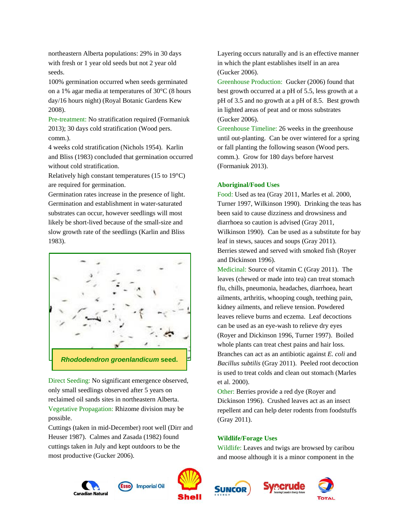northeastern Alberta populations: 29% in 30 days with fresh or 1 year old seeds but not 2 year old seeds.

100% germination occurred when seeds germinated on a 1% agar media at temperatures of 30°C (8 hours day/16 hours night) (Royal Botanic Gardens Kew 2008).

Pre-treatment: No stratification required (Formaniuk 2013); 30 days cold stratification (Wood pers. comm.).

4 weeks cold stratification (Nichols 1954). Karlin and Bliss (1983) concluded that germination occurred without cold stratification.

Relatively high constant temperatures (15 to 19°C) are required for germination.

Germination rates increase in the presence of light. Germination and establishment in water-saturated substrates can occur, however seedlings will most likely be short-lived because of the small-size and slow growth rate of the seedlings (Karlin and Bliss 1983).



Direct Seeding: No significant emergence observed, only small seedlings observed after 5 years on reclaimed oil sands sites in northeastern Alberta. Vegetative Propagation: Rhizome division may be possible.

Cuttings (taken in mid-December) root well (Dirr and Heuser 1987). Calmes and Zasada (1982) found cuttings taken in July and kept outdoors to be the most productive (Gucker 2006).





**SUNCOR** 





Layering occurs naturally and is an effective manner in which the plant establishes itself in an area (Gucker 2006).

Greenhouse Production: Gucker (2006) found that best growth occurred at a pH of 5.5, less growth at a pH of 3.5 and no growth at a pH of 8.5. Best growth in lighted areas of peat and or moss substrates (Gucker 2006).

Greenhouse Timeline: 26 weeks in the greenhouse until out-planting. Can be over wintered for a spring or fall planting the following season (Wood pers. comm.). Grow for 180 days before harvest (Formaniuk 2013).

### **Aboriginal/Food Uses**

Food: Used as tea (Gray 2011, Marles et al. 2000, Turner 1997, Wilkinson 1990). Drinking the teas has been said to cause dizziness and drowsiness and diarrhoea so caution is advised (Gray 2011, Wilkinson 1990). Can be used as a substitute for bay leaf in stews, sauces and soups (Gray 2011). Berries stewed and served with smoked fish (Royer and Dickinson 1996).

Medicinal: Source of vitamin C (Gray 2011). The leaves (chewed or made into tea) can treat stomach flu, chills, pneumonia, headaches, diarrhoea, heart ailments, arthritis, whooping cough, teething pain, kidney ailments, and relieve tension. Powdered leaves relieve burns and eczema. Leaf decoctions can be used as an eye-wash to relieve dry eyes (Royer and Dickinson 1996, Turner 1997). Boiled whole plants can treat chest pains and hair loss. Branches can act as an antibiotic against *E. coli* and *Bacillus subtilis* (Gray 2011). Peeled root decoction is used to treat colds and clean out stomach (Marles et al. 2000).

Other: Berries provide a red dye (Royer and Dickinson 1996). Crushed leaves act as an insect repellent and can help deter rodents from foodstuffs (Gray 2011).

### **Wildlife/Forage Uses**

Wildlife: Leaves and twigs are browsed by caribou and moose although it is a minor component in the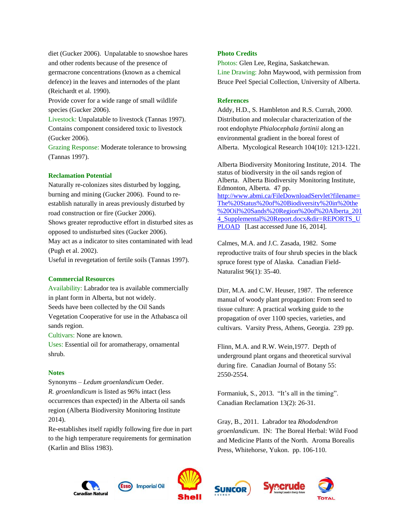diet (Gucker 2006). Unpalatable to snowshoe hares and other rodents because of the presence of germacrone concentrations (known as a chemical defence) in the leaves and internodes of the plant (Reichardt et al. 1990).

Provide cover for a wide range of small wildlife species (Gucker 2006).

Livestock: Unpalatable to livestock (Tannas 1997). Contains component considered toxic to livestock (Gucker 2006).

Grazing Response: Moderate tolerance to browsing (Tannas 1997).

### **Reclamation Potential**

Naturally re-colonizes sites disturbed by logging, burning and mining (Gucker 2006). Found to reestablish naturally in areas previously disturbed by road construction or fire (Gucker 2006).

Shows greater reproductive effort in disturbed sites as opposed to undisturbed sites (Gucker 2006).

May act as a indicator to sites contaminated with lead (Pugh et al. 2002).

Useful in revegetation of fertile soils (Tannas 1997).

### **Commercial Resources**

Availability: Labrador tea is available commercially in plant form in Alberta, but not widely.

Seeds have been collected by the Oil Sands

Vegetation Cooperative for use in the Athabasca oil sands region.

Cultivars: None are known.

Uses: Essential oil for aromatherapy, ornamental shrub.

### **Notes**

Synonyms – *Ledum groenlandicum* Oeder. *R. groenlandicum* is listed as 96% intact (less occurrences than expected) in the Alberta oil sands region (Alberta Biodiversity Monitoring Institute 2014).

Re-establishes itself rapidly following fire due in part to the high temperature requirements for germination (Karlin and Bliss 1983).

#### **Photo Credits**

Photos: Glen Lee, Regina, Saskatchewan. Line Drawing: John Maywood, with permission from Bruce Peel Special Collection, University of Alberta.

#### **References**

Addy, H.D., S. Hambleton and R.S. Currah, 2000. Distribution and molecular characterization of the root endophyte *Phialocephala fortinii* along an environmental gradient in the boreal forest of Alberta. Mycological Research 104(10): 1213-1221.

Alberta Biodiversity Monitoring Institute, 2014. The status of biodiversity in the oil sands region of Alberta. Alberta Biodiversity Monitoring Institute, Edmonton, Alberta. 47 pp. [http://www.abmi.ca/FileDownloadServlet?filename=](http://www.abmi.ca/FileDownloadServlet?filename=The%20Status%20of%20Biodiversity%20in%20the%20Oil%20Sands%20Region%20of%20Alberta_2014_Supplemental%20Report.docx&dir=REPORTS_UPLOAD) [The%20Status%20of%20Biodiversity%20in%20the](http://www.abmi.ca/FileDownloadServlet?filename=The%20Status%20of%20Biodiversity%20in%20the%20Oil%20Sands%20Region%20of%20Alberta_2014_Supplemental%20Report.docx&dir=REPORTS_UPLOAD) [%20Oil%20Sands%20Region%20of%20Alberta\\_201](http://www.abmi.ca/FileDownloadServlet?filename=The%20Status%20of%20Biodiversity%20in%20the%20Oil%20Sands%20Region%20of%20Alberta_2014_Supplemental%20Report.docx&dir=REPORTS_UPLOAD) [4\\_Supplemental%20Report.docx&dir=REPORTS\\_U](http://www.abmi.ca/FileDownloadServlet?filename=The%20Status%20of%20Biodiversity%20in%20the%20Oil%20Sands%20Region%20of%20Alberta_2014_Supplemental%20Report.docx&dir=REPORTS_UPLOAD) [PLOAD](http://www.abmi.ca/FileDownloadServlet?filename=The%20Status%20of%20Biodiversity%20in%20the%20Oil%20Sands%20Region%20of%20Alberta_2014_Supplemental%20Report.docx&dir=REPORTS_UPLOAD) [Last accessed June 16, 2014].

Calmes, M.A. and J.C. Zasada, 1982. Some reproductive traits of four shrub species in the black spruce forest type of Alaska. Canadian Field-Naturalist 96(1): 35-40.

Dirr, M.A. and C.W. Heuser, 1987. The reference manual of woody plant propagation: From seed to tissue culture: A practical working guide to the propagation of over 1100 species, varieties, and cultivars. Varsity Press, Athens, Georgia. 239 pp.

Flinn, M.A. and R.W. Wein,1977. Depth of underground plant organs and theoretical survival during fire. Canadian Journal of Botany 55: 2550-2554.

Formaniuk, S., 2013. "It's all in the timing". Canadian Reclamation 13(2): 26-31.

Gray, B., 2011. Labrador tea *Rhododendron groenlandicum*. IN: The Boreal Herbal: Wild Food and Medicine Plants of the North. Aroma Borealis Press, Whitehorse, Yukon. pp. 106-110.

recrude







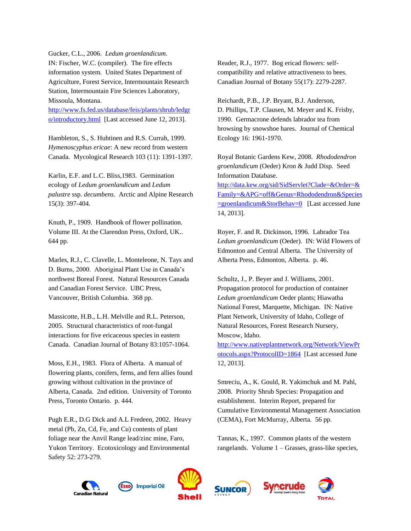Gucker, C.L., 2006. *Ledum groenlandicum*. IN: Fischer, W.C. (compiler). The fire effects information system. United States Department of Agriculture, Forest Service, Intermountain Research Station, Intermountain Fire Sciences Laboratory, Missoula, Montana.

[http://www.fs.fed.us/database/feis/plants/shrub/ledgr](http://www.fs.fed.us/database/feis/plants/shrub/ledgro/introductory.html) [o/introductory.html](http://www.fs.fed.us/database/feis/plants/shrub/ledgro/introductory.html) [Last accessed June 12, 2013].

Hambleton, S., S. Huhtinen and R.S. Currah, 1999. *Hymenoscyphus ericae*: A new record from western Canada. Mycological Research 103 (11): 1391-1397.

Karlin, E.F. and L.C. Bliss,1983. Germination ecology of *Ledum groenlandicum* and *Ledum palustre* ssp. *decumbens*. Arctic and Alpine Research 15(3): 397-404.

Knuth, P., 1909. Handbook of flower pollination. Volume III. At the Clarendon Press, Oxford, UK.. 644 pp.

Marles, R.J., C. Clavelle, L. Monteleone, N. Tays and D. Burns, 2000. Aboriginal Plant Use in Canada's northwest Boreal Forest. Natural Resources Canada and Canadian Forest Service. UBC Press, Vancouver, British Columbia. 368 pp.

Massicotte, H.B., L.H. Melville and R.L. Peterson, 2005. Structural characteristics of root-fungal interactions for five ericaceous species in eastern Canada. Canadian Journal of Botany 83:1057-1064.

Moss, E.H., 1983. Flora of Alberta. A manual of flowering plants, conifers, ferns, and fern allies found growing without cultivation in the province of Alberta, Canada. 2nd edition. University of Toronto Press, Toronto Ontario. p. 444.

Pugh E.R., D.G Dick and A.L Fredeen, 2002. Heavy metal (Pb, Zn, Cd, Fe, and Cu) contents of plant foliage near the Anvil Range lead/zinc mine, Faro, Yukon Territory. Ecotoxicology and Environmental Safety 52: 273-279.

Reader, R.J., 1977. Bog ericad flowers: selfcompatibility and relative attractiveness to bees. Canadian Journal of Botany 55(17): 2279-2287.

Reichardt, P.B., J.P. Bryant, B.J. Anderson, D. Phillips, T.P. Clausen, M. Meyer and K. Frisby, 1990. Germacrone defends labrador tea from browsing by snowshoe hares. Journal of Chemical Ecology 16: 1961-1970.

Royal Botanic Gardens Kew, 2008. *Rhododendron groenlandicum* (Oeder) Kron & Judd Disp. Seed Information Database.

[http://data.kew.org/sid/SidServlet?Clade=&Order=&](http://data.kew.org/sid/SidServlet?Clade=&Order=&Family=&APG=off&Genus=Rhododendron&Species=groenlandicum&StorBehav=0) [Family=&APG=off&Genus=Rhododendron&Species](http://data.kew.org/sid/SidServlet?Clade=&Order=&Family=&APG=off&Genus=Rhododendron&Species=groenlandicum&StorBehav=0) [=groenlandicum&StorBehav=0](http://data.kew.org/sid/SidServlet?Clade=&Order=&Family=&APG=off&Genus=Rhododendron&Species=groenlandicum&StorBehav=0) [Last accessed June 14, 2013].

Royer, F. and R. Dickinson, 1996. Labrador Tea *Ledum groenlandicum* (Oeder). IN: Wild Flowers of Edmonton and Central Alberta. The University of Alberta Press, Edmonton, Alberta. p. 46.

Schultz, J., P. Beyer and J. Williams, 2001. Propagation protocol for production of container *Ledum groenlandicum* Oeder plants; Hiawatha National Forest, Marquette, Michigan. IN: Native Plant Network, University of Idaho, College of Natural Resources, Forest Research Nursery, Moscow, Idaho.

[http://www.nativeplantnetwork.org/Network/ViewPr](http://www.nativeplantnetwork.org/Network/ViewProtocols.aspx?ProtocolID=1864) [otocols.aspx?ProtocolID=1864](http://www.nativeplantnetwork.org/Network/ViewProtocols.aspx?ProtocolID=1864) [Last accessed June 12, 2013].

Smreciu, A., K. Gould, R. Yakimchuk and M. Pahl, 2008. Priority Shrub Species: Propagation and establishment. Interim Report, prepared for Cumulative Environmental Management Association (CEMA), Fort McMurray, Alberta. 56 pp.

Tannas, K., 1997. Common plants of the western rangelands. Volume 1 – Grasses, grass-like species,

**Svecrude**